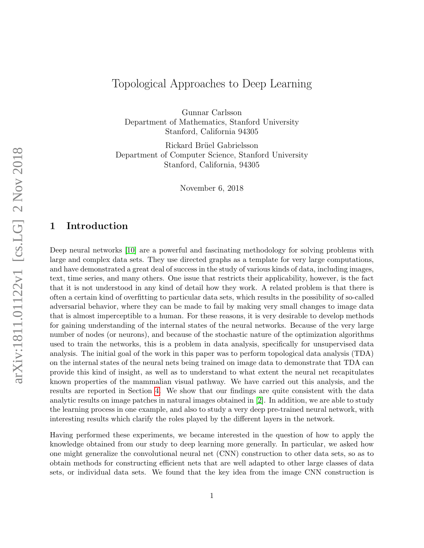# Topological Approaches to Deep Learning

Gunnar Carlsson Department of Mathematics, Stanford University Stanford, California 94305

Rickard Brüel Gabrielsson Department of Computer Science, Stanford University Stanford, California, 94305

November 6, 2018

### 1 Introduction

Deep neural networks [\[10\]](#page-21-0) are a powerful and fascinating methodology for solving problems with large and complex data sets. They use directed graphs as a template for very large computations, and have demonstrated a great deal of success in the study of various kinds of data, including images, text, time series, and many others. One issue that restricts their applicability, however, is the fact that it is not understood in any kind of detail how they work. A related problem is that there is often a certain kind of overfitting to particular data sets, which results in the possibility of so-called adversarial behavior, where they can be made to fail by making very small changes to image data that is almost imperceptible to a human. For these reasons, it is very desirable to develop methods for gaining understanding of the internal states of the neural networks. Because of the very large number of nodes (or neurons), and because of the stochastic nature of the optimization algorithms used to train the networks, this is a problem in data analysis, specifically for unsupervised data analysis. The initial goal of the work in this paper was to perform topological data analysis (TDA) on the internal states of the neural nets being trained on image data to demonstrate that TDA can provide this kind of insight, as well as to understand to what extent the neural net recapitulates known properties of the mammalian visual pathway. We have carried out this analysis, and the results are reported in Section [4.](#page-8-0) We show that our findings are quite consistent with the data analytic results on image patches in natural images obtained in [\[2\]](#page-21-1). In addition, we are able to study the learning process in one example, and also to study a very deep pre-trained neural network, with interesting results which clarify the roles played by the different layers in the network.

Having performed these experiments, we became interested in the question of how to apply the knowledge obtained from our study to deep learning more generally. In particular, we asked how one might generalize the convolutional neural net (CNN) construction to other data sets, so as to obtain methods for constructing efficient nets that are well adapted to other large classes of data sets, or individual data sets. We found that the key idea from the image CNN construction is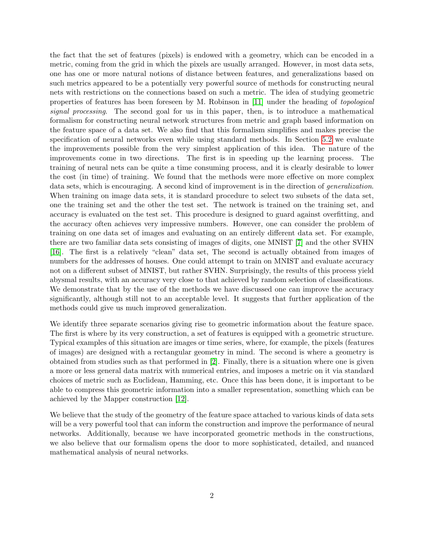the fact that the set of features (pixels) is endowed with a geometry, which can be encoded in a metric, coming from the grid in which the pixels are usually arranged. However, in most data sets, one has one or more natural notions of distance between features, and generalizations based on such metrics appeared to be a potentially very powerful source of methods for constructing neural nets with restrictions on the connections based on such a metric. The idea of studying geometric properties of features has been foreseen by M. Robinson in [\[11\]](#page-21-2) under the heading of topological signal processing. The second goal for us in this paper, then, is to introduce a mathematical formalism for constructing neural network structures from metric and graph based information on the feature space of a data set. We also find that this formalism simplifies and makes precise the specification of neural networks even while using standard methods. In Section [5.2](#page-16-0) we evaluate the improvements possible from the very simplest application of this idea. The nature of the improvements come in two directions. The first is in speeding up the learning process. The training of neural nets can be quite a time consuming process, and it is clearly desirable to lower the cost (in time) of training. We found that the methods were more effective on more complex data sets, which is encouraging. A second kind of improvement is in the direction of *generalization*. When training on image data sets, it is standard procedure to select two subsets of the data set, one the training set and the other the test set. The network is trained on the training set, and accuracy is evaluated on the test set. This procedure is designed to guard against overfitting, and the accuracy often achieves very impressive numbers. However, one can consider the problem of training on one data set of images and evaluating on an entirely different data set. For example, there are two familiar data sets consisting of images of digits, one MNIST [\[7\]](#page-21-3) and the other SVHN [\[16\]](#page-22-0). The first is a relatively "clean" data set, The second is actually obtained from images of numbers for the addresses of houses. One could attempt to train on MNIST and evaluate accuracy not on a different subset of MNIST, but rather SVHN. Surprisingly, the results of this process yield abysmal results, with an accuracy very close to that achieved by random selection of classifications. We demonstrate that by the use of the methods we have discussed one can improve the accuracy significantly, although still not to an acceptable level. It suggests that further application of the methods could give us much improved generalization.

We identify three separate scenarios giving rise to geometric information about the feature space. The first is where by its very construction, a set of features is equipped with a geometric structure. Typical examples of this situation are images or time series, where, for example, the pixels (features of images) are designed with a rectangular geometry in mind. The second is where a geometry is obtained from studies such as that performed in [\[2\]](#page-21-1). Finally, there is a situation where one is given a more or less general data matrix with numerical entries, and imposes a metric on it via standard choices of metric such as Euclidean, Hamming, etc. Once this has been done, it is important to be able to compress this geometric information into a smaller representation, something which can be achieved by the Mapper construction [\[12\]](#page-21-4).

We believe that the study of the geometry of the feature space attached to various kinds of data sets will be a very powerful tool that can inform the construction and improve the performance of neural networks. Additionally, because we have incorporated geometric methods in the constructions, we also believe that our formalism opens the door to more sophisticated, detailed, and nuanced mathematical analysis of neural networks.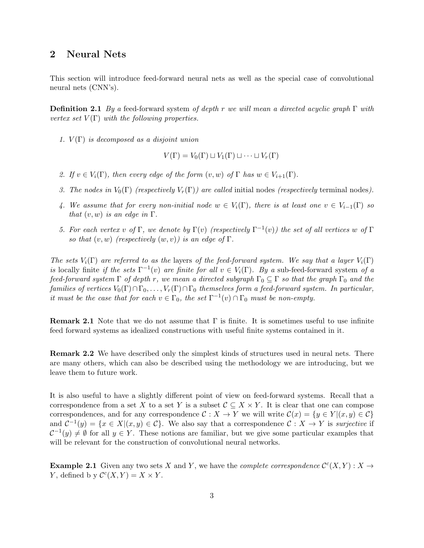#### <span id="page-2-1"></span>2 Neural Nets

This section will introduce feed-forward neural nets as well as the special case of convolutional neural nets (CNN's).

**Definition 2.1** By a feed-forward system of depth r we will mean a directed acyclic graph  $\Gamma$  with vertex set  $V(\Gamma)$  with the following properties.

1.  $V(\Gamma)$  is decomposed as a disjoint union

$$
V(\Gamma) = V_0(\Gamma) \sqcup V_1(\Gamma) \sqcup \cdots \sqcup V_r(\Gamma)
$$

- 2. If  $v \in V_i(\Gamma)$ , then every edge of the form  $(v, w)$  of  $\Gamma$  has  $w \in V_{i+1}(\Gamma)$ .
- 3. The nodes in  $V_0(\Gamma)$  (respectively  $V_r(\Gamma)$ ) are called initial nodes (respectively terminal nodes).
- 4. We assume that for every non-initial node  $w \in V_i(\Gamma)$ , there is at least one  $v \in V_{i-1}(\Gamma)$  so that  $(v, w)$  is an edge in  $\Gamma$ .
- 5. For each vertex v of  $\Gamma$ , we denote by  $\Gamma(v)$  (respectively  $\Gamma^{-1}(v)$ ) the set of all vertices w of  $\Gamma$ so that  $(v, w)$  (respectively  $(w, v)$ ) is an edge of  $\Gamma$ .

The sets  $V_i(\Gamma)$  are referred to as the layers of the feed-forward system. We say that a layer  $V_i(\Gamma)$ is locally finite if the sets  $\Gamma^{-1}(v)$  are finite for all  $v \in V_i(\Gamma)$ . By a sub-feed-forward system of a feed-forward system  $\Gamma$  of depth r, we mean a directed subgraph  $\Gamma_0 \subseteq \Gamma$  so that the graph  $\Gamma_0$  and the families of vertices  $V_0(\Gamma) \cap \Gamma_0, \ldots, V_r(\Gamma) \cap \Gamma_0$  themselves form a feed-forward system. In particular, it must be the case that for each  $v \in \Gamma_0$ , the set  $\Gamma^{-1}(v) \cap \Gamma_0$  must be non-empty.

**Remark 2.1** Note that we do not assume that  $\Gamma$  is finite. It is sometimes useful to use infinite feed forward systems as idealized constructions with useful finite systems contained in it.

Remark 2.2 We have described only the simplest kinds of structures used in neural nets. There are many others, which can also be described using the methodology we are introducing, but we leave them to future work.

It is also useful to have a slightly different point of view on feed-forward systems. Recall that a correspondence from a set X to a set Y is a subset  $C \subseteq X \times Y$ . It is clear that one can compose correspondences, and for any correspondence  $\mathcal{C}: X \to Y$  we will write  $\mathcal{C}(x) = \{y \in Y | (x, y) \in \mathcal{C}\}\$ and  $C^{-1}(y) = \{x \in X | (x, y) \in C\}$ . We also say that a correspondence  $C: X \to Y$  is surjective if  $C^{-1}(y) \neq \emptyset$  for all  $y \in Y$ . These notions are familiar, but we give some particular examples that will be relevant for the construction of convolutional neural networks.

<span id="page-2-0"></span>**Example 2.1** Given any two sets X and Y, we have the *complete correspondence*  $\mathcal{C}^c(X, Y) : X \to Y$ Y, defined b y  $\mathcal{C}^{c}(X, Y) = X \times Y$ .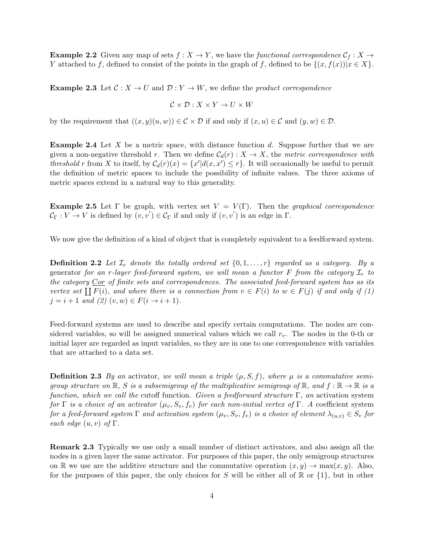**Example 2.2** Given any map of sets  $f : X \to Y$ , we have the functional correspondence  $\mathcal{C}_f : X \to Y$ Y attached to f, defined to consist of the points in the graph of f, defined to be  $\{(x, f(x)) | x \in X\}$ .

**Example 2.3** Let  $C: X \to U$  and  $D: Y \to W$ , we define the product correspondence

$$
\mathcal{C} \times \mathcal{D} : X \times Y \to U \times W
$$

by the requirement that  $((x, y)(u, w)) \in C \times D$  if and only if  $(x, u) \in C$  and  $(y, w) \in D$ .

<span id="page-3-0"></span>**Example 2.4** Let X be a metric space, with distance function d. Suppose further that we are given a non-negative threshold r. Then we define  $C_d(r) : X \to X$ , the metric correspondence with threshold r from X to itself, by  $C_d(r)(x) = \{x' | d(x, x') \le r\}$ . It will occasionally be useful to permit the definition of metric spaces to include the possibility of infinite values. The three axioms of metric spaces extend in a natural way to this generality.

<span id="page-3-1"></span>**Example 2.5** Let  $\Gamma$  be graph, with vertex set  $V = V(\Gamma)$ . Then the *graphical correspondence*  $\mathcal{C}_{\Gamma}: V \to V$  is defined by  $(v, v') \in \mathcal{C}_{\Gamma}$  if and only if  $(v, v')$  is an edge in  $\Gamma$ .

We now give the definition of a kind of object that is completely equivalent to a feedforward system.

**Definition 2.2** Let  $\mathcal{I}_r$  denote the totally ordered set  $\{0, 1, \ldots, r\}$  regarded as a category. By a generator for an r-layer feed-forward system, we will mean a functor F from the category  $\mathcal{I}_r$  to the category Cor of finite sets and correspondences. The associated feed-forward system has as its vertex set  $\prod F(i)$ , and where there is a connection from  $v \in F(i)$  to  $w \in F(j)$  if and only if (1)  $j = i + 1$  and  $(2)$   $(v, w) \in F(i \to i + 1)$ .

Feed-forward systems are used to describe and specify certain computations. The nodes are considered variables, so will be assigned numerical values which we call  $r_v$ . The nodes in the 0-th or initial layer are regarded as input variables, so they are in one to one correspondence with variables that are attached to a data set.

**Definition 2.3** By an activator, we will mean a triple  $(\mu, S, f)$ , where  $\mu$  is a commutative semigroup structure on  $\mathbb{R}$ , S is a subsemigroup of the multiplicative semigroup of  $\mathbb{R}$ , and  $f : \mathbb{R} \to \mathbb{R}$  is a function, which we call the cutoff function. Given a feedforward structure  $\Gamma$ , an activation system for Γ is a choice of an activator  $(\mu_v, S_v, f_v)$  for each non-initial vertex of Γ. A coefficient system for a feed-forward system  $\Gamma$  and activation system  $(\mu_v, S_v, f_v)$  is a choice of element  $\lambda_{(u,v)} \in S_v$  for each edge  $(u, v)$  of  $\Gamma$ .

Remark 2.3 Typically we use only a small number of distinct activators, and also assign all the nodes in a given layer the same activator. For purposes of this paper, the only semigroup structures on R we use are the additive structure and the commutative operation  $(x, y) \to \max(x, y)$ . Also, for the purposes of this paper, the only choices for S will be either all of  $\mathbb R$  or  $\{1\}$ , but in other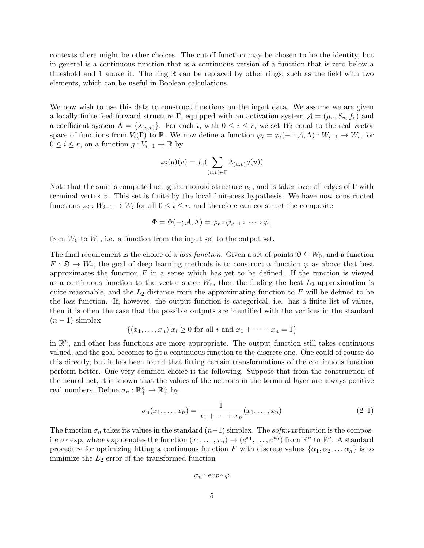contexts there might be other choices. The cutoff function may be chosen to be the identity, but in general is a continuous function that is a continuous version of a function that is zero below a threshold and 1 above it. The ring  $\mathbb R$  can be replaced by other rings, such as the field with two elements, which can be useful in Boolean calculations.

We now wish to use this data to construct functions on the input data. We assume we are given a locally finite feed-forward structure Γ, equipped with an activation system  $\mathcal{A} = (\mu_v, S_v, f_v)$  and a coefficient system  $\Lambda = {\lambda_{(u,v)}}$ . For each i, with  $0 \le i \le r$ , we set  $W_i$  equal to the real vector space of functions from  $V_i(\Gamma)$  to R. We now define a function  $\varphi_i = \varphi_i(-:A,\Lambda): W_{i-1} \to W_i$ , for  $0 \leq i \leq r$ , on a function  $g: V_{i-1} \to \mathbb{R}$  by

$$
\varphi_i(g)(v) = f_v(\sum_{(u,v)\in\Gamma} \lambda_{(u,v)} g(u))
$$

Note that the sum is computed using the monoid structure  $\mu_v$ , and is taken over all edges of Γ with terminal vertex  $v$ . This set is finite by the local finiteness hypothesis. We have now constructed functions  $\varphi_i: W_{i-1} \to W_i$  for all  $0 \leq i \leq r$ , and therefore can construct the composite

$$
\Phi=\Phi(-;\mathcal{A},\Lambda)=\varphi_r\mathbin{\raisebox{.3pt}{\scriptsize$\circ$}}\varphi_{r-1}\mathbin{\raisebox{.3pt}{\scriptsize$\circ$}}\cdots\mathbin{\raisebox{.3pt}{\scriptsize$\circ$}}\varphi_1
$$

from  $W_0$  to  $W_r$ , i.e. a function from the input set to the output set.

The final requirement is the choice of a loss function. Given a set of points  $\mathfrak{D} \subseteq W_0$ , and a function  $F: \mathfrak{D} \to W_r$ , the goal of deep learning methods is to construct a function  $\varphi$  as above that best approximates the function  $F$  in a sense which has yet to be defined. If the function is viewed as a continuous function to the vector space  $W_r$ , then the finding the best  $L_2$  approximation is quite reasonable, and the  $L_2$  distance from the approximating function to F will be defined to be the loss function. If, however, the output function is categorical, i.e. has a finite list of values, then it is often the case that the possible outputs are identified with the vertices in the standard  $(n-1)$ -simplex

$$
\{(x_1, \ldots, x_n)| x_i \ge 0 \text{ for all } i \text{ and } x_1 + \cdots + x_n = 1\}
$$

in  $\mathbb{R}^n$ , and other loss functions are more appropriate. The output function still takes continuous valued, and the goal becomes to fit a continuous function to the discrete one. One could of course do this directly, but it has been found that fitting certain transformations of the continuous function perform better. One very common choice is the following. Suppose that from the construction of the neural net, it is known that the values of the neurons in the terminal layer are always positive real numbers. Define  $\sigma_n : \mathbb{R}^n_+ \to \mathbb{R}^n_+$  by

<span id="page-4-0"></span>
$$
\sigma_n(x_1, \dots, x_n) = \frac{1}{x_1 + \dots + x_n}(x_1, \dots, x_n)
$$
\n(2-1)

The function  $\sigma_n$  takes its values in the standard  $(n-1)$  simplex. The *softmax* function is the composite  $\sigma \circ \exp$ , where  $\exp$  denotes the function  $(x_1, \ldots, x_n) \to (e^{x_1}, \ldots, e^{x_n})$  from  $\mathbb{R}^n$  to  $\mathbb{R}^n$ . A standard procedure for optimizing fitting a continuous function F with discrete values  $\{\alpha_1, \alpha_2, \dots \alpha_n\}$  is to minimize the  $L_2$  error of the transformed function

$$
\sigma_n\circ\exp\circ\,\varphi
$$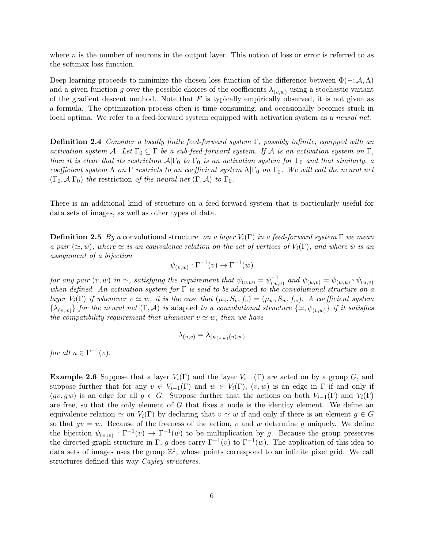where  $n$  is the number of neurons in the output layer. This notion of loss or error is referred to as the softmax loss function.

Deep learning proceeds to minimize the chosen loss function of the difference between  $\Phi(-; A, \Lambda)$ and a given function g over the possible choices of the coefficients  $\lambda_{(v,w)}$  using a stochastic variant of the gradient descent method. Note that  $F$  is typically empirically observed, it is not given as a formula. The optimization process often is time consuming, and occasionally becomes stuck in local optima. We refer to a feed-forward system equipped with activation system as a *neural net*.

**Definition 2.4** Consider a locally finite feed-forward system  $\Gamma$ , possibly infinite, equipped with an activation system A. Let  $\Gamma_0 \subseteq \Gamma$  be a sub-feed-forward system. If A is an activation system on  $\Gamma$ , then it is clear that its restriction  $\mathcal{A}|\Gamma_0$  to  $\Gamma_0$  is an activation system for  $\Gamma_0$  and that similarly, a coefficient system  $\Lambda$  on  $\Gamma$  restricts to an coefficient system  $\Lambda|\Gamma_0$  on  $\Gamma_0$ . We will call the neural net  $(\Gamma_0, \mathcal{A}|\Gamma_0)$  the restriction of the neural net  $(\Gamma, \mathcal{A})$  to  $\Gamma_0$ .

<span id="page-5-1"></span>There is an additional kind of structure on a feed-forward system that is particularly useful for data sets of images, as well as other types of data.

**Definition 2.5** By a convolutional structure on a layer  $V_i(\Gamma)$  in a feed-forward system  $\Gamma$  we mean a pair  $(\simeq, \psi)$ , where  $\simeq$  is an equivalence relation on the set of vertices of  $V_i(\Gamma)$ , and where  $\psi$  is an assignment of a bijection

$$
\psi_{(v,w)} : \Gamma^{-1}(v) \to \Gamma^{-1}(w)
$$

for any pair  $(v, w)$  in  $\simeq$ , satisfying the requirement that  $\psi_{(v,w)} = \psi_{(w)}^{-1}$  $\int_{(w,v)}^{-1}$  and  $\psi_{(w,v)} = \psi_{(w,u)} \circ \psi_{(u,v)}$ when defined. An activation system for  $\Gamma$  is said to be adapted to the convolutional structure on a layer  $V_i(\Gamma)$  if whenever  $v \simeq w$ , it is the case that  $(\mu_v, S_v, f_v) = (\mu_w, S_w, f_w)$ . A coefficient system  ${\{\lambda_{(v,w)}\}}$  for the neural net  $(\Gamma, \mathcal{A})$  is adapted to a convolutional structure  ${\{\simeq, \psi_{(v,w)}\}}$  if it satisfies the compatibility requirement that whenever  $v \simeq w$ , then we have

$$
\lambda_{(u,v)} = \lambda_{(\psi_{(v,w)}(u),w)}
$$

for all  $u \in \Gamma^{-1}(v)$ .

<span id="page-5-0"></span>**Example 2.6** Suppose that a layer  $V_i(\Gamma)$  and the layer  $V_{i-1}(\Gamma)$  are acted on by a group G, and suppose further that for any  $v \in V_{i-1}(\Gamma)$  and  $w \in V_i(\Gamma)$ ,  $(v, w)$  is an edge in  $\Gamma$  if and only if  $(gv, gw)$  is an edge for all  $g \in G$ . Suppose further that the actions on both  $V_{i-1}(\Gamma)$  and  $V_i(\Gamma)$ are free, so that the only element of  $G$  that fixes a node is the identity element. We define an equivalence relation  $\simeq$  on  $V_i(\Gamma)$  by declaring that  $v \simeq w$  if and only if there is an element  $q \in G$ so that  $qv = w$ . Because of the freeness of the action, v and w determine g uniquely. We define the bijection  $\psi_{(v,w)} : \Gamma^{-1}(v) \to \Gamma^{-1}(w)$  to be multiplication by g. Because the group preserves the directed graph structure in  $\Gamma$ , g does carry  $\Gamma^{-1}(v)$  to  $\Gamma^{-1}(w)$ . The application of this idea to data sets of images uses the group  $\mathbb{Z}^2$ , whose points correspond to an infinite pixel grid. We call structures defined this way Cayley structures.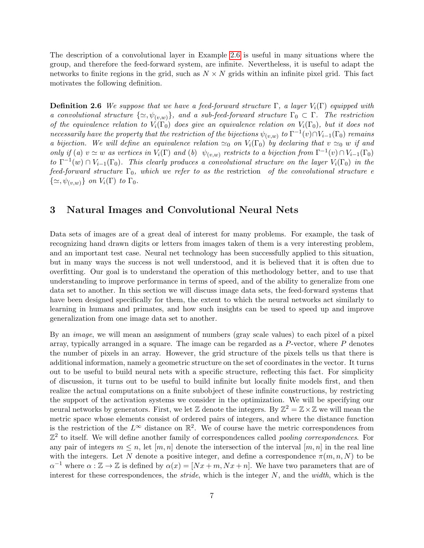The description of a convolutional layer in Example [2.6](#page-5-0) is useful in many situations where the group, and therefore the feed-forward system, are infinite. Nevertheless, it is useful to adapt the networks to finite regions in the grid, such as  $N \times N$  grids within an infinite pixel grid. This fact motivates the following definition.

**Definition 2.6** We suppose that we have a feed-forward structure Γ, a layer  $V_i(\Gamma)$  equipped with a convolutional structure  $\{\simeq, \psi_{(v,w)}\}$ , and a sub-feed-forward structure  $\Gamma_0 \subset \Gamma$ . The restriction of the equivalence relation to  $V_i(\Gamma_0)$  does give an equivalence relation on  $V_i(\Gamma_0)$ , but it does not necessarily have the property that the restriction of the bijections  $\psi_{(v,w)}$  to  $\Gamma^{-1}(v) \cap V_{i-1}(\Gamma_0)$  remains a bijection. We will define an equivalence relation  $\approx_0$  on  $V_i(\Gamma_0)$  by declaring that  $v \approx_0 w$  if and only if (a)  $v \simeq w$  as vertices in  $V_i(\Gamma)$  and (b)  $\psi_{(v,w)}$  restricts to a bijection from  $\Gamma^{-1}(v) \cap V_{i-1}(\Gamma_0)$ to  $\Gamma^{-1}(w) \cap V_{i-1}(\Gamma_0)$ . This clearly produces a convolutional structure on the layer  $V_i(\Gamma_0)$  in the feed-forward structure  $\Gamma_0$ , which we refer to as the restriction of the convolutional structure e  $\{\simeq, \psi_{(v,w)}\}$  on  $V_i(\Gamma)$  to  $\Gamma_0$ .

#### <span id="page-6-0"></span>3 Natural Images and Convolutional Neural Nets

Data sets of images are of a great deal of interest for many problems. For example, the task of recognizing hand drawn digits or letters from images taken of them is a very interesting problem, and an important test case. Neural net technology has been successfully applied to this situation, but in many ways the success is not well understood, and it is believed that it is often due to overfitting. Our goal is to understand the operation of this methodology better, and to use that understanding to improve performance in terms of speed, and of the ability to generalize from one data set to another. In this section we will discuss image data sets, the feed-forward systems that have been designed specifically for them, the extent to which the neural networks act similarly to learning in humans and primates, and how such insights can be used to speed up and improve generalization from one image data set to another.

By an image, we will mean an assignment of numbers (gray scale values) to each pixel of a pixel array, typically arranged in a square. The image can be regarded as a  $P$ -vector, where  $P$  denotes the number of pixels in an array. However, the grid structure of the pixels tells us that there is additional information, namely a geometric structure on the set of coordinates in the vector. It turns out to be useful to build neural nets with a specific structure, reflecting this fact. For simplicity of discussion, it turns out to be useful to build infinite but locally finite models first, and then realize the actual computations on a finite subobject of these infinite constructions, by restricting the support of the activation systems we consider in the optimization. We will be specifying our neural networks by generators. First, we let  $\mathbb Z$  denote the integers. By  $\mathbb Z^2 = \mathbb Z \times \mathbb Z$  we will mean the metric space whose elements consist of ordered pairs of integers, and where the distance function is the restriction of the  $L^{\infty}$  distance on  $\mathbb{R}^2$ . We of course have the metric correspondences from  $\mathbb{Z}^2$  to itself. We will define another family of correspondences called *pooling correspondences*. For any pair of integers  $m \leq n$ , let  $[m, n]$  denote the intersection of the interval  $[m, n]$  in the real line with the integers. Let N denote a positive integer, and define a correspondence  $\pi(m, n, N)$  to be  $\alpha^{-1}$  where  $\alpha : \mathbb{Z} \to \mathbb{Z}$  is defined by  $\alpha(x) = [Nx + m, Nx + n]$ . We have two parameters that are of interest for these correspondences, the *stride*, which is the integer  $N$ , and the *width*, which is the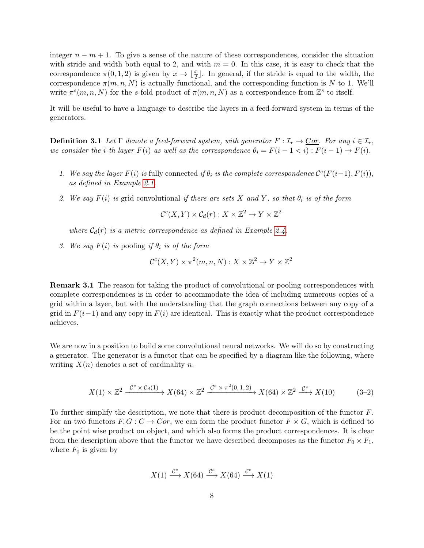integer  $n - m + 1$ . To give a sense of the nature of these correspondences, consider the situation with stride and width both equal to 2, and with  $m = 0$ . In this case, it is easy to check that the correspondence  $\pi(0, 1, 2)$  is given by  $x \to \lfloor \frac{x}{2} \rfloor$ . In general, if the stride is equal to the width, the correspondence  $\pi(m, n, N)$  is actually functional, and the corresponding function is N to 1. We'll write  $\pi^s(m,n,N)$  for the s-fold product of  $\pi(m,n,N)$  as a correspondence from  $\mathbb{Z}^s$  to itself.

It will be useful to have a language to describe the layers in a feed-forward system in terms of the generators.

**Definition 3.1** Let  $\Gamma$  denote a feed-forward system, with generator  $F : \mathcal{I}_r \to \underline{Cor}$ . For any  $i \in \mathcal{I}_r$ , we consider the *i*-th layer  $F(i)$  as well as the correspondence  $\theta_i = F(i - 1 < i) : F(i - 1) \rightarrow F(i)$ .

- 1. We say the layer  $F(i)$  is fully connected if  $\theta_i$  is the complete correspondence  $\mathcal{C}^c(F(i-1), F(i))$ , as defined in Example [2.1.](#page-2-0)
- 2. We say  $F(i)$  is grid convolutional if there are sets X and Y, so that  $\theta_i$  is of the form

 $\mathcal{C}^c(X,Y) \times \mathcal{C}_d(r): X \times \mathbb{Z}^2 \to Y \times \mathbb{Z}^2$ 

where  $C_d(r)$  is a metric correspondence as defined in Example [2.4.](#page-3-0)

3. We say  $F(i)$  is pooling if  $\theta_i$  is of the form

$$
\mathcal{C}^c(X, Y) \times \pi^2(m, n, N) : X \times \mathbb{Z}^2 \to Y \times \mathbb{Z}^2
$$

Remark 3.1 The reason for taking the product of convolutional or pooling correspondences with complete correspondences is in order to accommodate the idea of including numerous copies of a grid within a layer, but with the understanding that the graph connections between any copy of a grid in  $F(i-1)$  and any copy in  $F(i)$  are identical. This is exactly what the product correspondence achieves.

We are now in a position to build some convolutional neural networks. We will do so by constructing a generator. The generator is a functor that can be specified by a diagram like the following, where writing  $X(n)$  denotes a set of cardinality n.

<span id="page-7-0"></span>
$$
X(1) \times \mathbb{Z}^2 \xrightarrow{\mathcal{C}^c \times \mathcal{C}_d(1)} X(64) \times \mathbb{Z}^2 \xrightarrow{\mathcal{C}^c \times \pi^2(0, 1, 2)} X(64) \times \mathbb{Z}^2 \xrightarrow{\mathcal{C}^c} X(10) \tag{3-2}
$$

To further simplify the description, we note that there is product decomposition of the functor F. For an two functors  $F, G: \underline{C} \to \underline{Cor}$ , we can form the product functor  $F \times G$ , which is defined to be the point wise product on object, and which also forms the product correspondences. It is clear from the description above that the functor we have described decomposes as the functor  $F_0 \times F_1$ , where  $F_0$  is given by

$$
X(1) \xrightarrow{\mathcal{C}^c} X(64) \xrightarrow{\mathcal{C}^c} X(64) \xrightarrow{\mathcal{C}^c} X(1)
$$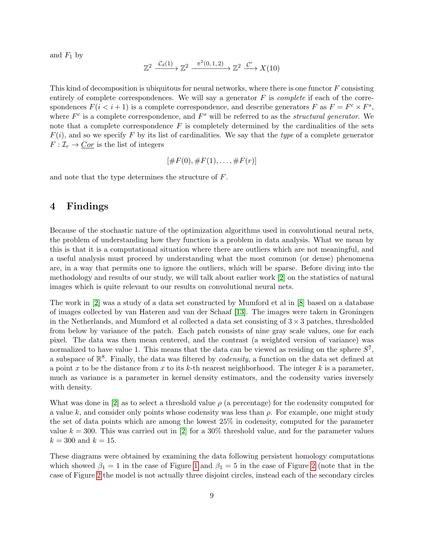and  $F_1$  by

$$
\mathbb{Z}^2 \xrightarrow{\mathcal{C}_d(1)} \mathbb{Z}^2 \xrightarrow{\pi^2(0,1,2)} \mathbb{Z}^2 \xrightarrow{\mathcal{C}^c} X(10)
$$

This kind of decomposition is ubiquitous for neural networks, where there is one functor  $F$  consisting entirely of complete correspondences. We will say a generator  $F$  is *complete* if each of the correspondences  $F(i \leq i+1)$  is a complete correspondence, and describe generators F as  $F = F^c \times F^s$ , where  $F^c$  is a complete correspondence, and  $F^s$  will be referred to as the *structural generator*. We note that a complete correspondence  $F$  is completely determined by the cardinalities of the sets  $F(i)$ , and so we specify F by its list of cardinalities. We say that the type of a complete generator  $F: \mathcal{I}_r \to \underline{Cor}$  is the list of integers

$$
[\#F(0), \#F(1), \ldots, \#F(r)]
$$

and note that the type determines the structure of F.

### <span id="page-8-0"></span>4 Findings

Because of the stochastic nature of the optimization algorithms used in convolutional neural nets, the problem of understanding how they function is a problem in data analysis. What we mean by this is that it is a computational situation where there are outliers which are not meaningful, and a useful analysis must proceed by understanding what the most common (or dense) phenomena are, in a way that permits one to ignore the outliers, which will be sparse. Before diving into the methodology and results of our study, we will talk about earlier work [\[2\]](#page-21-1) on the statistics of natural images which is quite relevant to our results on convolutional neural nets.

The work in [\[2\]](#page-21-1) was a study of a data set constructed by Mumford et al in [\[8\]](#page-21-5) based on a database of images collected by van Hateren and van der Schaaf [\[13\]](#page-22-1). The images were taken in Groningen in the Netherlands, and Mumford et al collected a data set consisting of  $3 \times 3$  patches, thresholded from below by variance of the patch. Each patch consists of nine gray scale values, one for each pixel. The data was then mean centered, and the contrast (a weighted version of variance) was normalized to have value 1. This means that the data can be viewed as residing on the sphere  $S^7$ , a subspace of  $\mathbb{R}^8$ . Finally, the data was filtered by *codensity*, a function on the data set defined at a point x to be the distance from x to its k-th nearest neighborhood. The integer k is a parameter, much as variance is a parameter in kernel density estimators, and the codensity varies inversely with density.

What was done in [\[2\]](#page-21-1) as to select a threshold value  $\rho$  (a percentage) for the codensity computed for a value k, and consider only points whose codensity was less than  $\rho$ . For example, one might study the set of data points which are among the lowest 25% in codensity, computed for the parameter value  $k = 300$ . This was carried out in [\[2\]](#page-21-1) for a 30% threshold value, and for the parameter values  $k = 300$  and  $k = 15$ .

These diagrams were obtained by examining the data following persistent homology computations which showed  $\beta_1 = 1$  $\beta_1 = 1$  in the case of Figure 1 and  $\beta_1 = 5$  in the case of Figure [2](#page-9-1) (note that in the case of Figure [2](#page-9-1) the model is not actually three disjoint circles, instead each of the secondary circles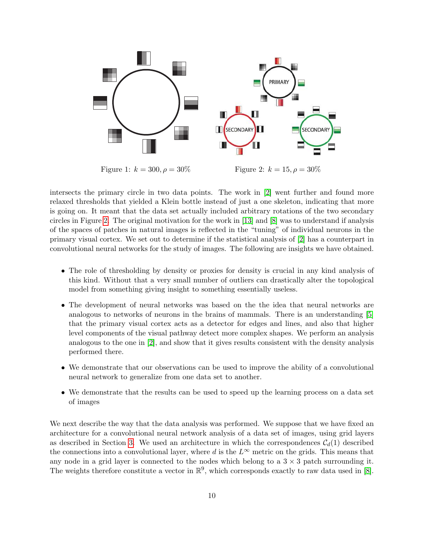

<span id="page-9-1"></span><span id="page-9-0"></span>intersects the primary circle in two data points. The work in [\[2\]](#page-21-1) went further and found more relaxed thresholds that yielded a Klein bottle instead of just a one skeleton, indicating that more is going on. It meant that the data set actually included arbitrary rotations of the two secondary circles in Figure [2.](#page-9-1) The original motivation for the work in [\[13\]](#page-22-1) and [\[8\]](#page-21-5) was to understand if analysis of the spaces of patches in natural images is reflected in the "tuning" of individual neurons in the primary visual cortex. We set out to determine if the statistical analysis of [\[2\]](#page-21-1) has a counterpart in convolutional neural networks for the study of images. The following are insights we have obtained.

- The role of thresholding by density or proxies for density is crucial in any kind analysis of this kind. Without that a very small number of outliers can drastically alter the topological model from something giving insight to something essentially useless.
- The development of neural networks was based on the the idea that neural networks are analogous to networks of neurons in the brains of mammals. There is an understanding [\[5\]](#page-21-6) that the primary visual cortex acts as a detector for edges and lines, and also that higher level components of the visual pathway detect more complex shapes. We perform an analysis analogous to the one in [\[2\]](#page-21-1), and show that it gives results consistent with the density analysis performed there.
- We demonstrate that our observations can be used to improve the ability of a convolutional neural network to generalize from one data set to another.
- We demonstrate that the results can be used to speed up the learning process on a data set of images

We next describe the way that the data analysis was performed. We suppose that we have fixed an architecture for a convolutional neural network analysis of a data set of images, using grid layers as described in Section [3.](#page-6-0) We used an architecture in which the correspondences  $\mathcal{C}_d(1)$  described the connections into a convolutional layer, where d is the  $L^{\infty}$  metric on the grids. This means that any node in a grid layer is connected to the nodes which belong to a  $3 \times 3$  patch surrounding it. The weights therefore constitute a vector in  $\mathbb{R}^9$ , which corresponds exactly to raw data used in [\[8\]](#page-21-5).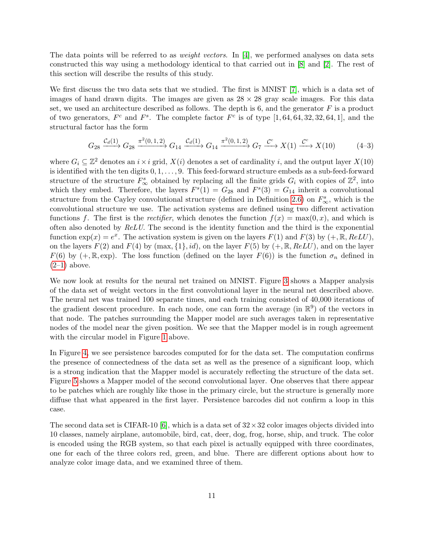The data points will be referred to as *weight vectors*. In [\[4\]](#page-21-7), we performed analyses on data sets constructed this way using a methodology identical to that carried out in [\[8\]](#page-21-5) and [\[2\]](#page-21-1). The rest of this section will describe the results of this study.

We first discuss the two data sets that we studied. The first is MNIST [\[7\]](#page-21-3), which is a data set of images of hand drawn digits. The images are given as  $28 \times 28$  gray scale images. For this data set, we used an architecture described as follows. The depth is  $6$ , and the generator  $F$  is a product of two generators,  $F^c$  and  $F^s$ . The complete factor  $F^c$  is of type [1, 64, 64, 32, 32, 64, 1], and the structural factor has the form

<span id="page-10-1"></span>
$$
G_{28} \xrightarrow{\mathcal{C}_d(1)} G_{28} \xrightarrow{\pi^2(0,1,2)} G_{14} \xrightarrow{\mathcal{C}_d(1)} G_{14} \xrightarrow{\pi^2(0,1,2)} G_7 \xrightarrow{\mathcal{C}^c} X(1) \xrightarrow{\mathcal{C}^c} X(10) \tag{4-3}
$$

where  $G_i \subseteq \mathbb{Z}^2$  denotes an  $i \times i$  grid,  $X(i)$  denotes a set of cardinality i, and the output layer  $X(10)$ is identified with the ten digits  $0, 1, \ldots, 9$ . This feed-forward structure embeds as a sub-feed-forward structure of the structure  $F^s_{\infty}$  obtained by replacing all the finite grids  $G_i$  with copies of  $\mathbb{Z}^2$ , into which they embed. Therefore, the layers  $F^{s}(1) = G_{28}$  and  $F^{s}(3) = G_{14}$  inherit a convolutional structure from the Cayley convolutional structure (defined in Definition [2.6\)](#page-5-0) on  $F_{\infty}^s$ , which is the convolutional structure we use. The activation systems are defined using two different activation functions f. The first is the rectifier, which denotes the function  $f(x) = \max(0, x)$ , and which is often also denoted by  $ReLU$ . The second is the identity function and the third is the exponential function  $\exp(x) = e^x$ . The activation system is given on the layers  $F(1)$  and  $F(3)$  by  $(+, \mathbb{R}, ReLU)$ , on the layers  $F(2)$  and  $F(4)$  by  $(\max,\{1\},id)$ , on the layer  $F(5)$  by  $(+,\mathbb{R},ReLU)$ , and on the layer  $F(6)$  by  $(+, \mathbb{R}, \exp)$ . The loss function (defined on the layer  $F(6)$ ) is the function  $\sigma_n$  defined in  $(2-1)$  above.

We now look at results for the neural net trained on MNIST. Figure [3](#page-11-0) shows a Mapper analysis of the data set of weight vectors in the first convolutional layer in the neural net described above. The neural net was trained 100 separate times, and each training consisted of 40,000 iterations of the gradient descent procedure. In each node, one can form the average (in  $\mathbb{R}^9$ ) of the vectors in that node. The patches surrounding the Mapper model are such averages taken in representative nodes of the model near the given position. We see that the Mapper model is in rough agreement with the circular model in Figure [1](#page-9-0) above.

In Figure [4,](#page-11-1) we see persistence barcodes computed for for the data set. The computation confirms the presence of connectedness of the data set as well as the presence of a significant loop, which is a strong indication that the Mapper model is accurately reflecting the structure of the data set. Figure [5](#page-11-2) shows a Mapper model of the second convolutional layer. One observes that there appear to be patches which are roughly like those in the primary circle, but the structure is generally more diffuse that what appeared in the first layer. Persistence barcodes did not confirm a loop in this case.

<span id="page-10-0"></span>The second data set is CIFAR-10 [\[6\]](#page-21-8), which is a data set of  $32 \times 32$  color images objects divided into 10 classes, namely airplane, automobile, bird, cat, deer, dog, frog, horse, ship, and truck. The color is encoded using the RGB system, so that each pixel is actually equipped with three coordinates, one for each of the three colors red, green, and blue. There are different options about how to analyze color image data, and we examined three of them.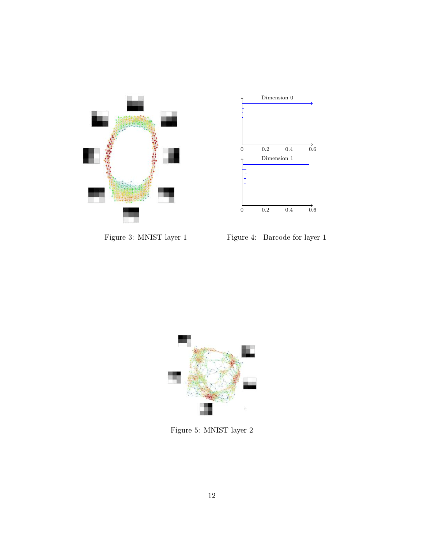



<span id="page-11-0"></span>Figure 3: MNIST layer 1

<span id="page-11-1"></span>Figure 4: Barcode for layer 1



<span id="page-11-2"></span>Figure 5: MNIST layer 2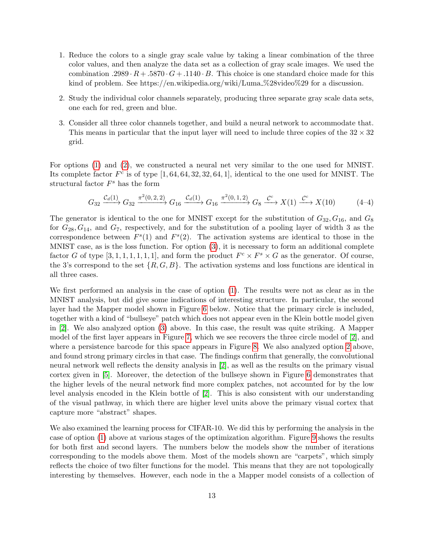- 1. Reduce the colors to a single gray scale value by taking a linear combination of the three color values, and then analyze the data set as a collection of gray scale images. We used the combination .2989 ·  $R + .5870 \cdot G + .1140 \cdot B$ . This choice is one standard choice made for this kind of problem. See https://en.wikipedia.org/wiki/Luma %28video%29 for a discussion.
- <span id="page-12-0"></span>2. Study the individual color channels separately, producing three separate gray scale data sets, one each for red, green and blue.
- <span id="page-12-1"></span>3. Consider all three color channels together, and build a neural network to accommodate that. This means in particular that the input layer will need to include three copies of the  $32 \times 32$ grid.

For options [\(1\)](#page-10-0) and [\(2\)](#page-12-0), we constructed a neural net very similar to the one used for MNIST. Its complete factor  $F^c$  is of type  $[1, 64, 64, 32, 32, 64, 1]$ , identical to the one used for MNIST. The structural factor  $F^s$  has the form

<span id="page-12-2"></span>
$$
G_{32} \xrightarrow{\mathcal{C}_d(1)} G_{32} \xrightarrow{\pi^2(0,2,2)} G_{16} \xrightarrow{\mathcal{C}_d(1)} G_{16} \xrightarrow{\pi^2(0,1,2)} G_8 \xrightarrow{\mathcal{C}^c} X(1) \xrightarrow{\mathcal{C}^c} X(10) \tag{4-4}
$$

The generator is identical to the one for MNIST except for the substitution of  $G_{32}, G_{16}$ , and  $G_8$ for  $G_{28}, G_{14}$ , and  $G_7$ , respectively, and for the substitution of a pooling layer of width 3 as the correspondence between  $F<sup>s</sup>(1)$  and  $F<sup>s</sup>(2)$ . The activation systems are identical to those in the MNIST case, as is the loss function. For option [\(3\)](#page-12-1), it is necessary to form an additional complete factor G of type  $[3, 1, 1, 1, 1, 1, 1]$ , and form the product  $F^c \times F^s \times G$  as the generator. Of course, the 3's correspond to the set  $\{R, G, B\}$ . The activation systems and loss functions are identical in all three cases.

We first performed an analysis in the case of option [\(1\)](#page-10-0). The results were not as clear as in the MNIST analysis, but did give some indications of interesting structure. In particular, the second layer had the Mapper model shown in Figure [6](#page-13-0) below. Notice that the primary circle is included, together with a kind of "bullseye" patch which does not appear even in the Klein bottle model given in [\[2\]](#page-21-1). We also analyzed option [\(3\)](#page-12-1) above. In this case, the result was quite striking. A Mapper model of the first layer appears in Figure [7,](#page-13-1) which we see recovers the three circle model of [\[2\]](#page-21-1), and where a persistence barcode for this space appears in Figure [8.](#page-13-2) We also analyzed option [2](#page-12-0) above, and found strong primary circles in that case. The findings confirm that generally, the convolutional neural network well reflects the density analysis in [\[2\]](#page-21-1), as well as the results on the primary visual cortex given in [\[5\]](#page-21-6). Moreover, the detection of the bullseye shown in Figure [6](#page-13-0) demonstrates that the higher levels of the neural network find more complex patches, not accounted for by the low level analysis encoded in the Klein bottle of [\[2\]](#page-21-1). This is also consistent with our understanding of the visual pathway, in which there are higher level units above the primary visual cortex that capture more "abstract" shapes.

We also examined the learning process for CIFAR-10. We did this by performing the analysis in the case of option [\(1\)](#page-10-0) above at various stages of the optimization algorithm. Figure [9](#page-14-0) shows the results for both first and second layers. The numbers below the models show the number of iterations corresponding to the models above them. Most of the models shown are "carpets", which simply reflects the choice of two filter functions for the model. This means that they are not topologically interesting by themselves. However, each node in the a Mapper model consists of a collection of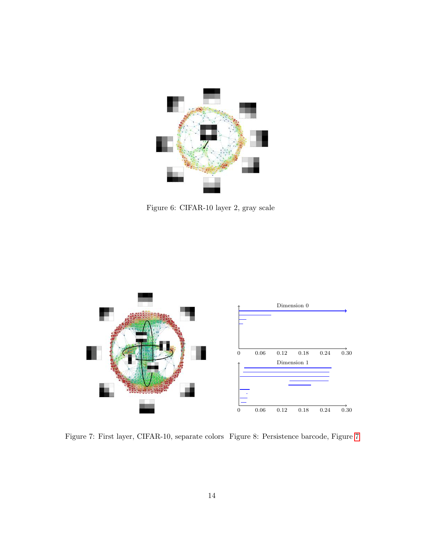<span id="page-13-0"></span>

Figure 6: CIFAR-10 layer 2, gray scale



<span id="page-13-2"></span><span id="page-13-1"></span>Figure [7](#page-13-1): First layer, CIFAR-10, separate colors Figure 8: Persistence barcode, Figure 7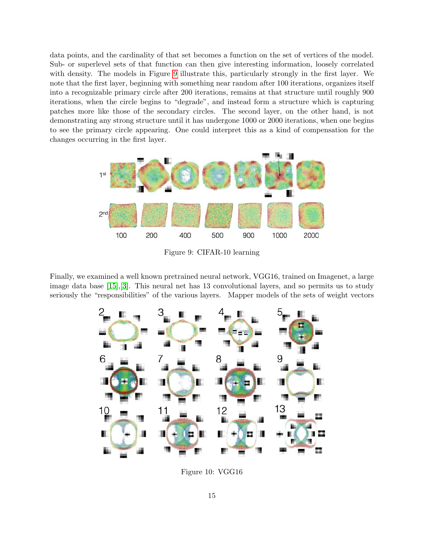data points, and the cardinality of that set becomes a function on the set of vertices of the model. Sub- or superlevel sets of that function can then give interesting information, loosely correlated with density. The models in Figure [9](#page-14-0) illustrate this, particularly strongly in the first layer. We note that the first layer, beginning with something near random after 100 iterations, organizes itself into a recognizable primary circle after 200 iterations, remains at that structure until roughly 900 iterations, when the circle begins to "degrade", and instead form a structure which is capturing patches more like those of the secondary circles. The second layer, on the other hand, is not demonstrating any strong structure until it has undergone 1000 or 2000 iterations, when one begins to see the primary circle appearing. One could interpret this as a kind of compensation for the changes occurring in the first layer.



<span id="page-14-0"></span>Figure 9: CIFAR-10 learning

Finally, we examined a well known pretrained neural network, VGG16, trained on Imagenet, a large image data base [\[15\]](#page-22-2), [\[3\]](#page-21-9). This neural net has 13 convolutional layers, and so permits us to study seriously the "responsibilities" of the various layers. Mapper models of the sets of weight vectors

<span id="page-14-1"></span>

Figure 10: VGG16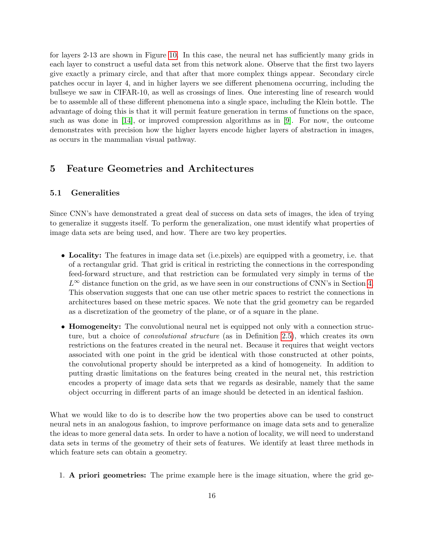for layers 2-13 are shown in Figure [10.](#page-14-1) In this case, the neural net has sufficiently many grids in each layer to construct a useful data set from this network alone. Observe that the first two layers give exactly a primary circle, and that after that more complex things appear. Secondary circle patches occur in layer 4, and in higher layers we see different phenomena occurring, including the bullseye we saw in CIFAR-10, as well as crossings of lines. One interesting line of research would be to assemble all of these different phenomena into a single space, including the Klein bottle. The advantage of doing this is that it will permit feature generation in terms of functions on the space, such as was done in [\[14\]](#page-22-3), or improved compression algorithms as in [\[9\]](#page-21-10). For now, the outcome demonstrates with precision how the higher layers encode higher layers of abstraction in images, as occurs in the mammalian visual pathway.

### 5 Feature Geometries and Architectures

#### 5.1 Generalities

Since CNN's have demonstrated a great deal of success on data sets of images, the idea of trying to generalize it suggests itself. To perform the generalization, one must identify what properties of image data sets are being used, and how. There are two key properties.

- Locality: The features in image data set (i.e.pixels) are equipped with a geometry, i.e. that of a rectangular grid. That grid is critical in restricting the connections in the corresponding feed-forward structure, and that restriction can be formulated very simply in terms of the  $L^{\infty}$  distance function on the grid, as we have seen in our constructions of CNN's in Section [4.](#page-8-0) This observation suggests that one can use other metric spaces to restrict the connections in architectures based on these metric spaces. We note that the grid geometry can be regarded as a discretization of the geometry of the plane, or of a square in the plane.
- Homogeneity: The convolutional neural net is equipped not only with a connection structure, but a choice of convolutional structure (as in Definition [2.5\)](#page-5-1), which creates its own restrictions on the features created in the neural net. Because it requires that weight vectors associated with one point in the grid be identical with those constructed at other points, the convolutional property should be interpreted as a kind of homogeneity. In addition to putting drastic limitations on the features being created in the neural net, this restriction encodes a property of image data sets that we regards as desirable, namely that the same object occurring in different parts of an image should be detected in an identical fashion.

What we would like to do is to describe how the two properties above can be used to construct neural nets in an analogous fashion, to improve performance on image data sets and to generalize the ideas to more general data sets. In order to have a notion of locality, we will need to understand data sets in terms of the geometry of their sets of features. We identify at least three methods in which feature sets can obtain a geometry.

1. A priori geometries: The prime example here is the image situation, where the grid ge-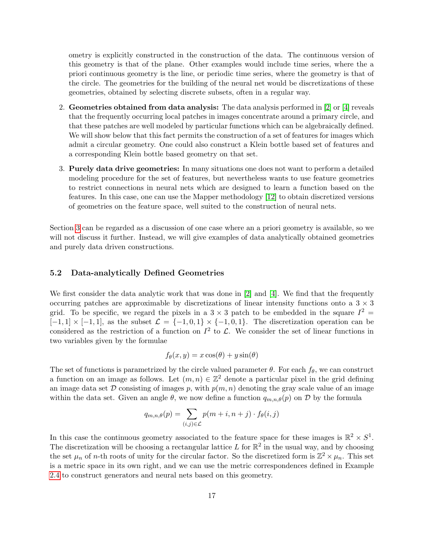ometry is explicitly constructed in the construction of the data. The continuous version of this geometry is that of the plane. Other examples would include time series, where the a priori continuous geometry is the line, or periodic time series, where the geometry is that of the circle. The geometries for the building of the neural net would be discretizations of these geometries, obtained by selecting discrete subsets, often in a regular way.

- 2. Geometries obtained from data analysis: The data analysis performed in [\[2\]](#page-21-1) or [\[4\]](#page-21-7) reveals that the frequently occurring local patches in images concentrate around a primary circle, and that these patches are well modeled by particular functions which can be algebraically defined. We will show below that this fact permits the construction of a set of features for images which admit a circular geometry. One could also construct a Klein bottle based set of features and a corresponding Klein bottle based geometry on that set.
- 3. Purely data drive geometries: In many situations one does not want to perform a detailed modeling procedure for the set of features, but nevertheless wants to use feature geometries to restrict connections in neural nets which are designed to learn a function based on the features. In this case, one can use the Mapper methodology [\[12\]](#page-21-4) to obtain discretized versions of geometries on the feature space, well suited to the construction of neural nets.

Section [3](#page-6-0) can be regarded as a discussion of one case where an a priori geometry is available, so we will not discuss it further. Instead, we will give examples of data analytically obtained geometries and purely data driven constructions.

#### <span id="page-16-0"></span>5.2 Data-analytically Defined Geometries

We first consider the data analytic work that was done in [\[2\]](#page-21-1) and [\[4\]](#page-21-7). We find that the frequently occurring patches are approximable by discretizations of linear intensity functions onto a  $3 \times 3$ grid. To be specific, we regard the pixels in a 3  $\times$  3 patch to be embedded in the square  $I^2$  =  $[-1, 1] \times [-1, 1]$ , as the subset  $\mathcal{L} = \{-1, 0, 1\} \times \{-1, 0, 1\}$ . The discretization operation can be considered as the restriction of a function on  $I^2$  to  $\mathcal{L}$ . We consider the set of linear functions in two variables given by the formulae

$$
f_{\theta}(x, y) = x \cos(\theta) + y \sin(\theta)
$$

The set of functions is parametrized by the circle valued parameter  $\theta$ . For each  $f_{\theta}$ , we can construct a function on an image as follows. Let  $(m, n) \in \mathbb{Z}^2$  denote a particular pixel in the grid defining an image data set  $\mathcal D$  consisting of images p, with  $p(m, n)$  denoting the gray scale value of an image within the data set. Given an angle  $\theta$ , we now define a function  $q_{m,n,\theta}(p)$  on D by the formula

$$
q_{m,n,\theta}(p) = \sum_{(i,j)\in\mathcal{L}} p(m+i,n+j) \cdot f_{\theta}(i,j)
$$

In this case the continuous geometry associated to the feature space for these images is  $\mathbb{R}^2 \times S^1$ . The discretization will be choosing a rectangular lattice L for  $\mathbb{R}^2$  in the usual way, and by choosing the set  $\mu_n$  of *n*-th roots of unity for the circular factor. So the discretized form is  $\mathbb{Z}^2 \times \mu_n$ . This set is a metric space in its own right, and we can use the metric correspondences defined in Example [2.4](#page-3-0) to construct generators and neural nets based on this geometry.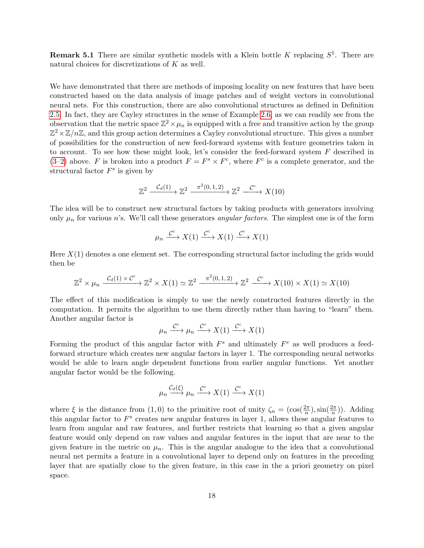**Remark 5.1** There are similar synthetic models with a Klein bottle K replacing  $S^1$ . There are natural choices for discretizations of  $K$  as well.

We have demonstrated that there are methods of imposing locality on new features that have been constructed based on the data analysis of image patches and of weight vectors in convolutional neural nets. For this construction, there are also convolutional structures as defined in Definition [2.5.](#page-5-1) In fact, they are Cayley structures in the sense of Example [2.6,](#page-5-0) as we can readily see from the observation that the metric space  $\mathbb{Z}^2 \times \mu_n$  is equipped with a free and transitive action by the group  $\mathbb{Z}^2 \times \mathbb{Z}/n\mathbb{Z}$ , and this group action determines a Cayley convolutional structure. This gives a number of possibilities for the construction of new feed-forward systems with feature geometries taken in to account. To see how these might look, let's consider the feed-forward system  $F$  described in  $(3-2)$  above. F is broken into a product  $F = F<sup>s</sup> \times F<sup>c</sup>$ , where  $F<sup>c</sup>$  is a complete generator, and the structural factor  $F^s$  is given by

$$
\mathbb{Z}^2 \xrightarrow{\mathcal{C}_d(1)} \mathbb{Z}^2 \xrightarrow{\pi^2(0,1,2)} \mathbb{Z}^2 \xrightarrow{\mathcal{C}^c} X(10)
$$

The idea will be to construct new structural factors by taking products with generators involving only  $\mu_n$  for various n's. We'll call these generators angular factors. The simplest one is of the form

$$
\mu_n \xrightarrow{\mathcal{C}^c} X(1) \xrightarrow{\mathcal{C}^c} X(1) \xrightarrow{\mathcal{C}^c} X(1)
$$

Here  $X(1)$  denotes a one element set. The corresponding structural factor including the grids would then be

$$
\mathbb{Z}^2 \times \mu_n \xrightarrow{\mathcal{C}_d(1) \times \mathcal{C}^c} \mathbb{Z}^2 \times X(1) \simeq \mathbb{Z}^2 \xrightarrow{\pi^2(0,1,2)} \mathbb{Z}^2 \xrightarrow{\mathcal{C}^c} X(10) \times X(1) \simeq X(10)
$$

The effect of this modification is simply to use the newly constructed features directly in the computation. It permits the algorithm to use them directly rather than having to "learn" them. Another angular factor is

$$
\mu_n \xrightarrow{\mathcal{C}^c} \mu_n \xrightarrow{\mathcal{C}^c} X(1) \xrightarrow{\mathcal{C}^c} X(1)
$$

Forming the product of this angular factor with  $F^s$  and ultimately  $F^c$  as well produces a feedforward structure which creates new angular factors in layer 1. The corresponding neural networks would be able to learn angle dependent functions from earlier angular functions. Yet another angular factor would be the following.

$$
\mu_n \xrightarrow{\mathcal{C}_d(\xi)} \mu_n \xrightarrow{\mathcal{C}^c} X(1) \xrightarrow{\mathcal{C}^c} X(1)
$$

where  $\xi$  is the distance from  $(1,0)$  to the primitive root of unity  $\zeta_n = (\cos(\frac{2\pi}{n}), \sin(\frac{2\pi}{n}))$ . Adding this angular factor to  $F^s$  creates new angular features in layer 1, allows these angular features to learn from angular and raw features, and further restricts that learning so that a given angular feature would only depend on raw values and angular features in the input that are near to the given feature in the metric on  $\mu_n$ . This is the angular analogue to the idea that a convolutional neural net permits a feature in a convolutional layer to depend only on features in the preceding layer that are spatially close to the given feature, in this case in the a priori geometry on pixel space.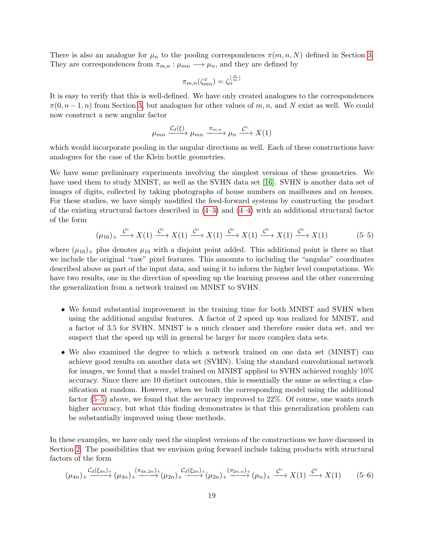There is also an analogue for  $\mu_n$  to the pooling correspondences  $\pi(m, n, N)$  defined in Section [3.](#page-6-0) They are correspondences from  $\pi_{m,n}: \mu_{mn} \longrightarrow \mu_n$ , and they are defined by

$$
\pi_{m,n}(\zeta_{mn}^x) = \zeta_n^{\lfloor \frac{x}{m} \rfloor}
$$

It is easy to verify that this is well-defined. We have only created analogues to the correspondences  $\pi(0, n-1, n)$  from Section [3,](#page-6-0) but analogues for other values of m, n, and N exist as well. We could now construct a new angular factor

$$
\mu_{mn} \xrightarrow{\mathcal{C}_d(\xi)} \mu_{mn} \xrightarrow{\pi_{m,n}} \mu_n \xrightarrow{\mathcal{C}^c} X(1)
$$

which would incorporate pooling in the angular directions as well. Each of these constructions have analogues for the case of the Klein bottle geometries.

We have some preliminary experiments involving the simplest versions of these geometries. We have used them to study MNIST, as well as the SVHN data set [\[16\]](#page-22-0). SVHN is another data set of images of digits, collected by taking photographs of house numbers on mailboxes and on houses. For these studies, we have simply modified the feed-forward systems by constructing the product of the existing structural factors described in  $(4-3)$  and  $(4-4)$  with an additional structural factor of the form

<span id="page-18-0"></span>
$$
(\mu_{16})_{+} \xrightarrow{\mathcal{C}^c} X(1) \xrightarrow{\mathcal{C}^c} X(1) \xrightarrow{\mathcal{C}^c} X(1) \xrightarrow{\mathcal{C}^c} X(1) \xrightarrow{\mathcal{C}^c} X(1) \xrightarrow{\mathcal{C}^c} X(1) \tag{5-5}
$$

where  $(\mu_{16})_+$  plus denotes  $\mu_{16}$  with a disjoint point added. This additional point is there so that we include the original "raw" pixel features. This amounts to including the "angular" coordinates described above as part of the input data, and using it to inform the higher level computations. We have two results, one in the direction of speeding up the learning process and the other concerning the generalization from a network trained on MNIST to SVHN.

- We found substantial improvement in the training time for both MNIST and SVHN when using the additional angular features. A factor of 2 speed up was realized for MNIST, and a factor of 3.5 for SVHN. MNIST is a much cleaner and therefore easier data set, and we suspect that the speed up will in general be larger for more complex data sets.
- We also examined the degree to which a network trained on one data set (MNIST) can achieve good results on another data set (SVHN). Using the standard convolutional network for images, we found that a model trained on MNIST applied to SVHN achieved roughly 10% accuracy. Since there are 10 distinct outcomes, this is essentially the same as selecting a classification at random. However, when we built the corresponding model using the additional factor [\(5–5\)](#page-18-0) above, we found that the accuracy improved to 22%. Of course, one wants much higher accuracy, but what this finding demonstrates is that this generalization problem can be substantially improved using these methods.

In these examples, we have only used the simplest versions of the constructions we have discussed in Section [2.](#page-2-1) The possibilities that we envision going forward include taking products with structural factors of the form

$$
(\mu_{4n})_{+} \xrightarrow{\mathcal{C}_{d}(\xi_{4n})_{+}} (\mu_{4n})_{+} \xrightarrow{(\pi_{4n,2n})_{+}} (\mu_{2n})_{+} \xrightarrow{\mathcal{C}_{d}(\xi_{2n})_{+}} (\mu_{2n})_{+} \xrightarrow{(\pi_{2n,n})_{+}} (\mu_{n})_{+} \xrightarrow{\mathcal{C}^{c}} X(1) \xrightarrow{\mathcal{C}^{c}} X(1) \tag{5-6}
$$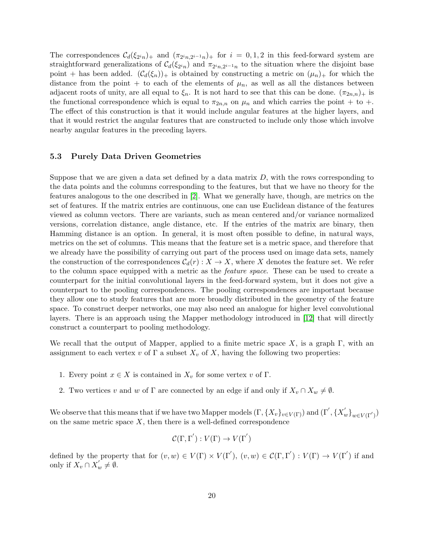The correspondences  $\mathcal{C}_d(\xi_{2^in})_+$  and  $(\pi_{2^in,2^{i-1}n})_+$  for  $i = 0,1,2$  in this feed-forward system are straightforward generalizations of  $C_d(\xi_{2^in})$  and  $\pi_{2^in,2^{i-1}n}$  to the situation where the disjoint base point + has been added.  $(\mathcal{C}_d(\xi_n))_+$  is obtained by constructing a metric on  $(\mu_n)_+$  for which the distance from the point + to each of the elements of  $\mu_n$ , as well as all the distances between adjacent roots of unity, are all equal to  $\xi_n$ . It is not hard to see that this can be done.  $(\pi_{2n,n})_+$  is the functional correspondence which is equal to  $\pi_{2n,n}$  on  $\mu_n$  and which carries the point + to +. The effect of this construction is that it would include angular features at the higher layers, and that it would restrict the angular features that are constructed to include only those which involve nearby angular features in the preceding layers.

#### 5.3 Purely Data Driven Geometries

Suppose that we are given a data set defined by a data matrix  $D$ , with the rows corresponding to the data points and the columns corresponding to the features, but that we have no theory for the features analogous to the one described in [\[2\]](#page-21-1). What we generally have, though, are metrics on the set of features. If the matrix entries are continuous, one can use Euclidean distance of the features viewed as column vectors. There are variants, such as mean centered and/or variance normalized versions, correlation distance, angle distance, etc. If the entries of the matrix are binary, then Hamming distance is an option. In general, it is most often possible to define, in natural ways, metrics on the set of columns. This means that the feature set is a metric space, and therefore that we already have the possibility of carrying out part of the process used on image data sets, namely the construction of the correspondences  $C_d(r) : X \to X$ , where X denotes the feature set. We refer to the column space equipped with a metric as the feature space. These can be used to create a counterpart for the initial convolutional layers in the feed-forward system, but it does not give a counterpart to the pooling correspondences. The pooling correspondences are important because they allow one to study features that are more broadly distributed in the geometry of the feature space. To construct deeper networks, one may also need an analogue for higher level convolutional layers. There is an approach using the Mapper methodology introduced in [\[12\]](#page-21-4) that will directly construct a counterpart to pooling methodology.

We recall that the output of Mapper, applied to a finite metric space X, is a graph  $\Gamma$ , with an assignment to each vertex v of  $\Gamma$  a subset  $X_v$  of X, having the following two properties:

- 1. Every point  $x \in X$  is contained in  $X_v$  for some vertex v of  $\Gamma$ .
- 2. Two vertices v and w of  $\Gamma$  are connected by an edge if and only if  $X_v \cap X_w \neq \emptyset$ .

We observe that this means that if we have two Mapper models  $(\Gamma, \{X_v\}_{v \in V(\Gamma)})$  and  $(\Gamma', \{X_w'\}_{w \in V(\Gamma')})$ on the same metric space  $X$ , then there is a well-defined correspondence

$$
\mathcal{C}(\Gamma, \Gamma^{'}) : V(\Gamma) \to V(\Gamma^{'})
$$

defined by the property that for  $(v, w) \in V(\Gamma) \times V(\Gamma')$ ,  $(v, w) \in \mathcal{C}(\Gamma, \Gamma') : V(\Gamma) \to V(\Gamma')$  if and only if  $X_v \cap X_w' \neq \emptyset$ .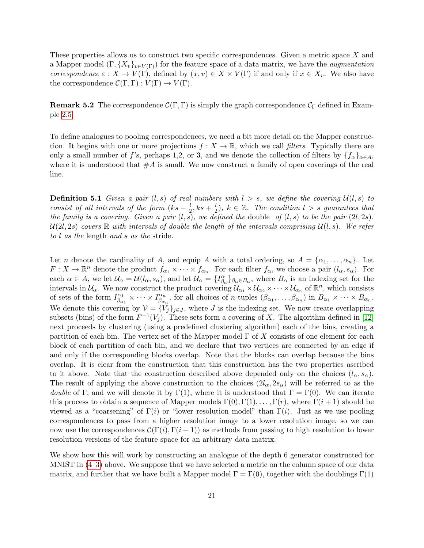These properties allows us to construct two specific correspondences. Given a metric space X and a Mapper model  $(\Gamma, \{X_v\}_{v\in V(\Gamma)})$  for the feature space of a data matrix, we have the *augmentation* correspondence  $\varepsilon: X \to V(\Gamma)$ , defined by  $(x, v) \in X \times V(\Gamma)$  if and only if  $x \in X_v$ . We also have the correspondence  $C(\Gamma,\Gamma): V(\Gamma) \to V(\Gamma)$ .

**Remark 5.2** The correspondence  $\mathcal{C}(\Gamma,\Gamma)$  is simply the graph correspondence  $\mathcal{C}_{\Gamma}$  defined in Example [2.5.](#page-3-1)

To define analogues to pooling correspondences, we need a bit more detail on the Mapper construction. It begins with one or more projections  $f: X \to \mathbb{R}$ , which we call filters. Typically there are only a small number of f's, perhaps 1,2, or 3, and we denote the collection of filters by  $\{f_{\alpha}\}_{{\alpha}\in A}$ , where it is understood that  $#A$  is small. We now construct a family of open coverings of the real line.

**Definition 5.1** Given a pair  $(l, s)$  of real numbers with  $l > s$ , we define the covering  $\mathcal{U}(l, s)$  to consist of all intervals of the form  $(ks - \frac{l}{2})$  $\frac{l}{2}, ks+\frac{l}{2}$  $\frac{l}{2}$ ,  $k \in \mathbb{Z}$ . The condition  $l > s$  guarantees that the family is a covering. Given a pair  $(l, s)$ , we defined the double of  $(l, s)$  to be the pair  $(2l, 2s)$ .  $U(2l, 2s)$  covers  $\mathbb R$  with intervals of double the length of the intervals comprising  $U(l, s)$ . We refer to l as the length and s as the stride.

Let n denote the cardinality of A, and equip A with a total ordering, so  $A = \{\alpha_1, \ldots, \alpha_n\}$ . Let  $F: X \to \mathbb{R}^n$  denote the product  $f_{\alpha_1} \times \cdots \times f_{\alpha_n}$ . For each filter  $f_{\alpha}$ , we choose a pair  $(l_{\alpha}, s_{\alpha})$ . For each  $\alpha \in A$ , we let  $\mathcal{U}_{\alpha} = \mathcal{U}(l_{\alpha}, s_{\alpha})$ , and let  $\mathcal{U}_{\alpha} = \{I_{\beta_{\alpha}}^{\alpha}\}_{\beta_{\alpha} \in B_{\alpha}}$ , where  $B_{\alpha}$  is an indexing set for the intervals in  $\mathcal{U}_{\alpha}$ . We now construct the product covering  $\mathcal{U}_{\alpha_1} \times \mathcal{U}_{\alpha_2} \times \cdots \times \mathcal{U}_{\alpha_n}$  of  $\mathbb{R}^n$ , which consists of sets of the form  $I_{\beta}^{\alpha_1}$  $\frac{\alpha_1}{\beta_{\alpha_1}} \times \cdots \times I_{\beta_{\alpha_n}}^{\alpha_n}$  $\beta_{\alpha_n}^{\alpha_n}$ , for all choices of *n*-tuples  $(\beta_{\alpha_1}, \dots, \beta_{\alpha_n})$  in  $B_{\alpha_1} \times \dots \times B_{\alpha_n}$ . We denote this covering by  $\mathcal{V} = \{V_j\}_{j \in J}$ , where J is the indexing set. We now create overlapping subsets (bins) of the form  $F^{-1}(V_j)$ . These sets form a covering of X. The algorithm defined in [\[12\]](#page-21-4) next proceeds by clustering (using a predefined clustering algorithm) each of the bins, creating a partition of each bin. The vertex set of the Mapper model  $\Gamma$  of X consists of one element for each block of each partition of each bin, and we declare that two vertices are connected by an edge if and only if the corresponding blocks overlap. Note that the blocks can overlap because the bins overlap. It is clear from the construction that this construction has the two properties ascribed to it above. Note that the construction described above depended only on the choices  $(l_{\alpha}, s_{\alpha})$ . The result of applying the above construction to the choices  $(2l_{\alpha}, 2s_{\alpha})$  will be referred to as the double of Γ, and we will denote it by Γ(1), where it is understood that  $\Gamma = \Gamma(0)$ . We can iterate this process to obtain a sequence of Mapper models  $\Gamma(0), \Gamma(1), \ldots, \Gamma(r)$ , where  $\Gamma(i+1)$  should be viewed as a "coarsening" of  $\Gamma(i)$  or "lower resolution model" than  $\Gamma(i)$ . Just as we use pooling correspondences to pass from a higher resolution image to a lower resolution image, so we can now use the correspondences  $\mathcal{C}(\Gamma(i), \Gamma(i+1))$  as methods from passing to high resolution to lower resolution versions of the feature space for an arbitrary data matrix.

We show how this will work by constructing an analogue of the depth 6 generator constructed for MNIST in [\(4–3\)](#page-10-1) above. We suppose that we have selected a metric on the column space of our data matrix, and further that we have built a Mapper model  $\Gamma = \Gamma(0)$ , together with the doublings  $\Gamma(1)$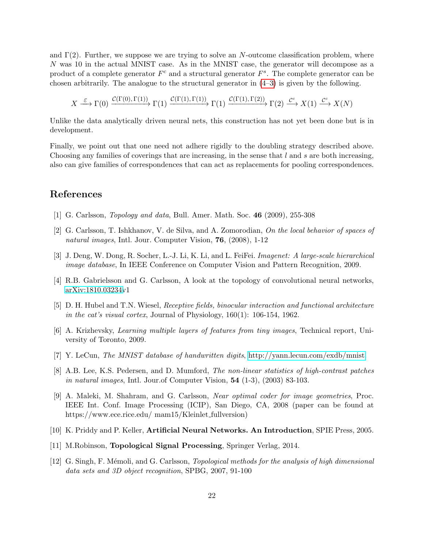and  $\Gamma(2)$ . Further, we suppose we are trying to solve an N-outcome classification problem, where N was 10 in the actual MNIST case. As in the MNIST case, the generator will decompose as a product of a complete generator  $F^c$  and a structural generator  $F^s$ . The complete generator can be chosen arbitrarily. The analogue to the structural generator in [\(4–3\)](#page-10-1) is given by the following.

$$
X\xrightarrow{\varepsilon}\Gamma(0)\xrightarrow{\mathcal{C}(\Gamma(0),\Gamma(1))}\Gamma(1)\xrightarrow{\mathcal{C}(\Gamma(1),\Gamma(1))}\Gamma(1)\xrightarrow{\mathcal{C}(\Gamma(1),\Gamma(2))}\Gamma(2)\xrightarrow{\mathcal{C}^c}X(1)\xrightarrow{\mathcal{C}^c}X(N)
$$

Unlike the data analytically driven neural nets, this construction has not yet been done but is in development.

Finally, we point out that one need not adhere rigidly to the doubling strategy described above. Choosing any families of coverings that are increasing, in the sense that  $l$  and  $s$  are both increasing, also can give families of correspondences that can act as replacements for pooling correspondences.

## References

- [1] G. Carlsson, Topology and data, Bull. Amer. Math. Soc. 46 (2009), 255-308
- <span id="page-21-1"></span>[2] G. Carlsson, T. Ishkhanov, V. de Silva, and A. Zomorodian, On the local behavior of spaces of natural images, Intl. Jour. Computer Vision, **76**, (2008), 1-12
- <span id="page-21-9"></span>[3] J. Deng, W. Dong, R. Socher, L.-J. Li, K. Li, and L. FeiFei. Imagenet: A large-scale hierarchical image database, In IEEE Conference on Computer Vision and Pattern Recognition, 2009.
- <span id="page-21-7"></span>[4] R.B. Gabrielsson and G. Carlsson, A look at the topology of convolutional neural networks, [arXiv:1810.03234v](http://arxiv.org/abs/1810.03234)1
- <span id="page-21-6"></span>[5] D. H. Hubel and T.N. Wiesel, Receptive fields, binocular interaction and functional architecture in the cat's visual cortex, Journal of Physiology, 160(1): 106-154, 1962.
- <span id="page-21-8"></span>[6] A. Krizhevsky, Learning multiple layers of features from tiny images, Technical report, University of Toronto, 2009.
- <span id="page-21-3"></span>[7] Y. LeCun, The MNIST database of handwritten digits, [http://yann.lecun.com/exdb/mnist.](http://yann.lecun.com/exdb/mnist)
- <span id="page-21-5"></span>[8] A.B. Lee, K.S. Pedersen, and D. Mumford, The non-linear statistics of high-contrast patches in natural images, Intl. Jour.of Computer Vision, 54 (1-3), (2003) 83-103.
- <span id="page-21-10"></span>[9] A. Maleki, M. Shahram, and G. Carlsson, Near optimal coder for image geometries, Proc. IEEE Int. Conf. Image Processing (ICIP), San Diego, CA, 2008 (paper can be found at https://www.ece.rice.edu/ mam15/Kleinlet\_fullversion)
- <span id="page-21-0"></span>[10] K. Priddy and P. Keller, Artificial Neural Networks. An Introduction, SPIE Press, 2005.
- <span id="page-21-2"></span>[11] M.Robinson, Topological Signal Processing, Springer Verlag, 2014.
- <span id="page-21-4"></span>[12] G. Singh, F. Mémoli, and G. Carlsson, *Topological methods for the analysis of high dimensional* data sets and 3D object recognition, SPBG, 2007, 91-100